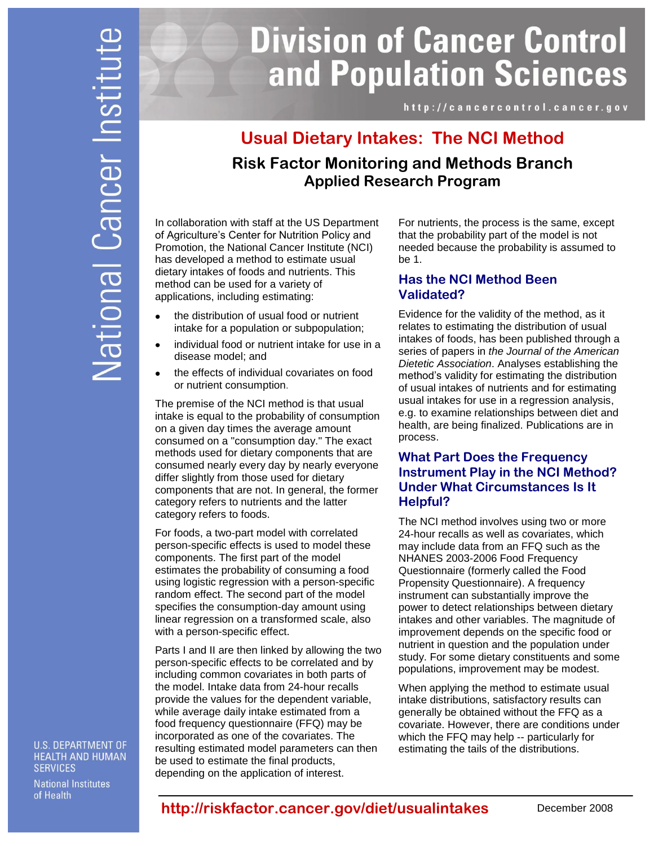# **Division of Cancer Control** and Population Sciences

http://cancercontrol.cancer.gov

# **Usual Dietary Intakes: The NCI Method Risk Factor Monitoring and Methods Branch Applied Research Program**

In collaboration with staff at the US Department of Agriculture's Center for Nutrition Policy and Promotion, the National Cancer Institute (NCI) has developed a method to estimate usual dietary intakes of foods and nutrients. This method can be used for a variety of applications, including estimating:

- $\bullet$ the distribution of usual food or nutrient intake for a population or subpopulation;
- individual food or nutrient intake for use in a disease model; and
- the effects of individual covariates on food or nutrient consumption.

The premise of the NCI method is that usual intake is equal to the probability of consumption on a given day times the average amount consumed on a "consumption day." The exact methods used for dietary components that are consumed nearly every day by nearly everyone differ slightly from those used for dietary components that are not. In general, the former category refers to nutrients and the latter category refers to foods.

For foods, a two-part model with correlated person-specific effects is used to model these components. The first part of the model estimates the probability of consuming a food using logistic regression with a person-specific random effect. The second part of the model specifies the consumption-day amount using linear regression on a transformed scale, also with a person-specific effect.

Parts I and II are then linked by allowing the two person-specific effects to be correlated and by including common covariates in both parts of the model. Intake data from 24-hour recalls provide the values for the dependent variable, while average daily intake estimated from a food frequency questionnaire (FFQ) may be incorporated as one of the covariates. The resulting estimated model parameters can then be used to estimate the final products, depending on the application of interest.

For nutrients, the process is the same, except that the probability part of the model is not needed because the probability is assumed to be 1.

#### **Has the NCI Method Been Validated?**

Evidence for the validity of the method, as it relates to estimating the distribution of usual intakes of foods, has been published through a series of papers in *the Journal of the American Dietetic Association*. Analyses establishing the method's validity for estimating the distribution of usual intakes of nutrients and for estimating usual intakes for use in a regression analysis, e.g. to examine relationships between diet and health, are being finalized. Publications are in process.

### **What Part Does the Frequency Instrument Play in the NCI Method? Under What Circumstances Is It Helpful?**

The NCI method involves using two or more 24-hour recalls as well as covariates, which may include data from an FFQ such as the NHANES 2003-2006 Food Frequency Questionnaire (formerly called the Food Propensity Questionnaire). A frequency instrument can substantially improve the power to detect relationships between dietary intakes and other variables. The magnitude of improvement depends on the specific food or nutrient in question and the population under study. For some dietary constituents and some populations, improvement may be modest.

When applying the method to estimate usual intake distributions, satisfactory results can generally be obtained without the FFQ as a covariate. However, there are conditions under which the FFQ may help -- particularly for estimating the tails of the distributions.

**U.S. DEPARTMENT OF HEALTH AND HUMAN SERVICES** 

**National Institutes** of Health